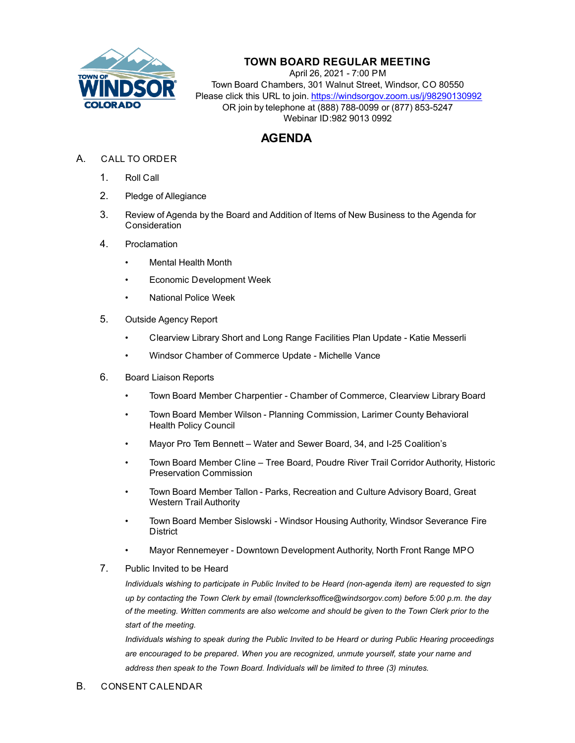

## **TOWN BOARD REGULAR MEETING**

April 26, 2021 - 7:00 PM Town Board Chambers, 301 Walnut Street, Windsor, CO 80550 Please click this URL to join. https://windsorgov.zoom.us/j/98290130992 OR join by telephone at (888) 788-0099 or (877) 853-5247 Webinar ID:982 9013 0992

## **AGENDA**

- A. CALL TO ORDER
	- 1. Roll Call
	- 2. Pledge of Allegiance
	- 3. Review of Agenda by the Board and Addition of Items of New Business to the Agenda for **Consideration**
	- 4. Proclamation
		- Mental Health Month
		- Economic Development Week
		- National Police Week
	- 5. Outside Agency Report
		- Clearview Library Short and Long Range Facilities Plan Update Katie Messerli
		- • [Windsor Chamber of Commerce Update Michelle Vance](file:///C:/Windows/TEMP/CoverSheet.aspx?ItemID=1385&MeetingID=266)
	- 6. Board Liaison Reports
		- Town Board Member Charpentier Chamber of Commerce, Clearview Library Board
		- Town Board Member Wilson Planning Commission, Larimer County Behavioral Health Policy Council
		- Mayor Pro Tem Bennett Water and Sewer Board, 34, and I-25 Coalition's
		- Town Board Member Cline Tree Board, Poudre River Trail Corridor Authority, Historic Preservation Commission
		- Town Board Member Tallon Parks, Recreation and Culture Advisory Board, Great Western Trail Authority
		- Town Board Member Sislowski Windsor Housing Authority, Windsor Severance Fire **District**
		- Mayor Rennemeyer Downtown Development Authority, North Front Range MPO
	- 7. Public Invited to be Heard

*Individuals wishing to participate in Public Invited to be Heard (non-agenda item) are requested to sign up by contacting the Town Clerk by email (townclerksoffice@windsorgov.com) before 5:00 p.m. the day of the meeting. Written comments are also welcome and should be given to the Town Clerk prior to the start of the meeting.*

*Individuals wishing to speak during the Public Invited to be Heard or during Public Hearing proceedings are encouraged to be prepared. When you are recognized, unmute yourself, state your name and address then speak to the Town Board. Individuals will be limited to three (3) minutes.*